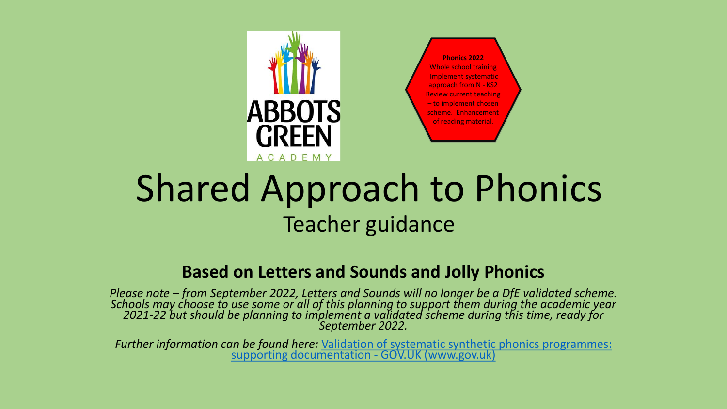

**Phonics 2022** Whole school training Implement systematic approach from N - KS2 Review current teaching – to implement chosen scheme. Enhancement of reading material.

# Shared Approach to Phonics Teacher guidance

#### **Based on Letters and Sounds and Jolly Phonics**

*Please note – from September 2022, Letters and Sounds will no longer be a DfE validated scheme. Schools may choose to use some or all of this planning to support them during the academic year 2021-22 but should be planning to implement a validated scheme during this time, ready for September 2022.* 

*Further information can be found here:* [Validation of systematic synthetic phonics programmes:](https://www.gov.uk/government/publications/phonics-teaching-materials-core-criteria-and-self-assessment/validation-of-systematic-synthetic-phonics-programmes-supporting-documentation) supporting documentation - GOV.UK (www.gov.uk)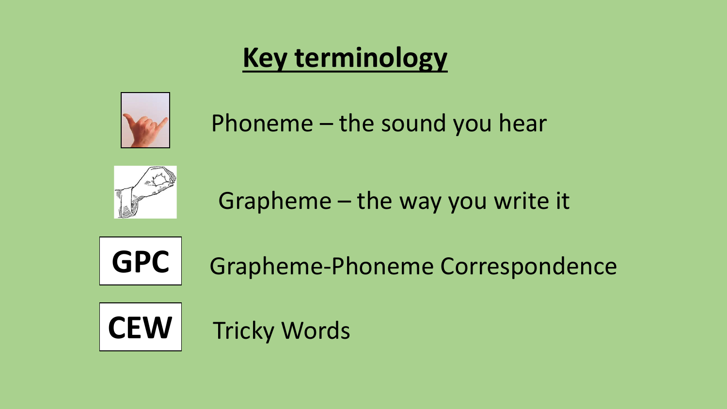# **Key terminology**



Phoneme – the sound you hear



Grapheme – the way you write it



**GPC** Grapheme-Phoneme Correspondence

**CEW** Tricky Words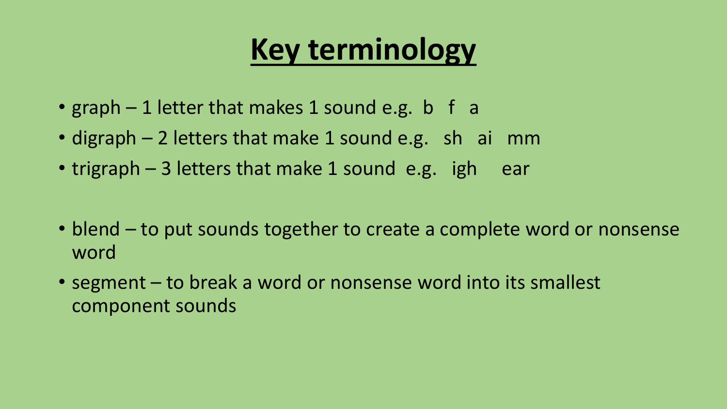# **Key terminology**

- graph  $-1$  letter that makes 1 sound e.g. b f a
- digraph 2 letters that make 1 sound e.g. sh ai mm
- trigraph 3 letters that make 1 sound e.g. igh ear
- blend to put sounds together to create a complete word or nonsense word
- segment to break a word or nonsense word into its smallest component sounds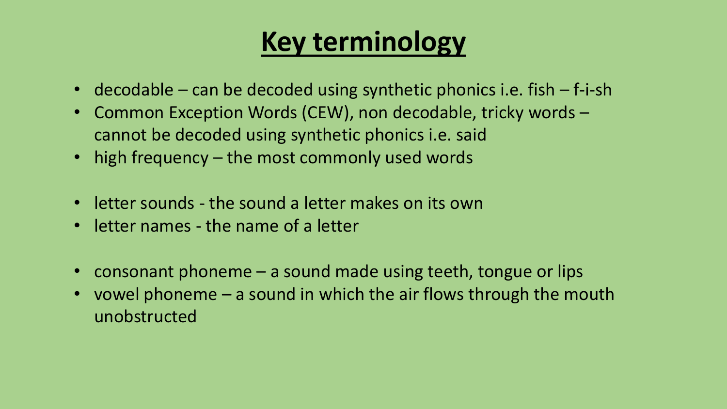### **Key terminology**

- decodable can be decoded using synthetic phonics i.e. fish f-i-sh
- Common Exception Words (CEW), non decodable, tricky words cannot be decoded using synthetic phonics i.e. said
- high frequency the most commonly used words
- letter sounds the sound a letter makes on its own
- letter names the name of a letter
- consonant phoneme a sound made using teeth, tongue or lips
- vowel phoneme a sound in which the air flows through the mouth unobstructed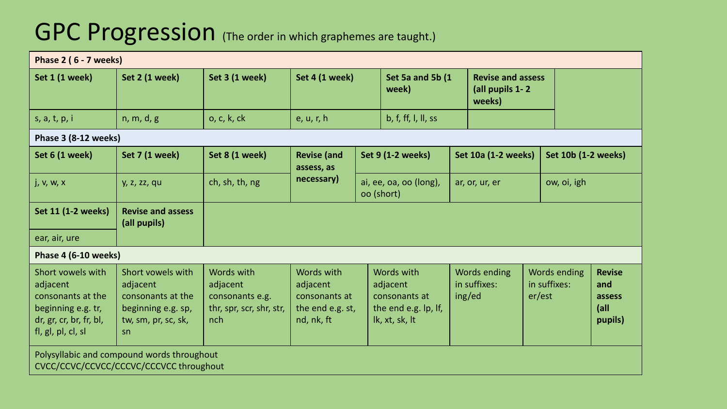#### GPC Progression (The order in which graphemes are taught.)

| Phase 2 (6 - 7 weeks)                                                                                                     |                                                                                                       |                                                                              |                                                                                                             |  |                                                                                   |                |                                        |                        |                          |                     |                                                   |  |
|---------------------------------------------------------------------------------------------------------------------------|-------------------------------------------------------------------------------------------------------|------------------------------------------------------------------------------|-------------------------------------------------------------------------------------------------------------|--|-----------------------------------------------------------------------------------|----------------|----------------------------------------|------------------------|--------------------------|---------------------|---------------------------------------------------|--|
| Set 1 (1 week)                                                                                                            | Set 2 (1 week)                                                                                        | Set 3 (1 week)                                                               | Set 4 (1 week)                                                                                              |  | Set 5a and 5b (1<br>week)                                                         |                | (all pupils 1-2<br>weeks)              |                        | <b>Revise and assess</b> |                     |                                                   |  |
| s, a, t, p, i                                                                                                             | n, m, d, g                                                                                            | o, c, k, ck                                                                  | e, u, r, h                                                                                                  |  | b, f, ff, I, II, ss                                                               |                |                                        |                        |                          |                     |                                                   |  |
| Phase 3 (8-12 weeks)                                                                                                      |                                                                                                       |                                                                              |                                                                                                             |  |                                                                                   |                |                                        |                        |                          |                     |                                                   |  |
| Set 6 (1 week)                                                                                                            | Set 7 (1 week)                                                                                        | Set 8 (1 week)                                                               | <b>Revise (and</b><br>Set 9 (1-2 weeks)<br>assess, as<br>necessary)<br>ai, ee, oa, oo (long),<br>oo (short) |  | <b>Set 10a (1-2 weeks)</b>                                                        |                |                                        |                        | Set 10b (1-2 weeks)      |                     |                                                   |  |
| j, v, w, x                                                                                                                | y, z, zz, qu                                                                                          | ch, sh, th, ng                                                               |                                                                                                             |  |                                                                                   | ar, or, ur, er |                                        | ow, oi, igh            |                          |                     |                                                   |  |
| <b>Set 11 (1-2 weeks)</b>                                                                                                 | <b>Revise and assess</b><br>(all pupils)                                                              |                                                                              |                                                                                                             |  |                                                                                   |                |                                        |                        |                          |                     |                                                   |  |
| ear, air, ure                                                                                                             |                                                                                                       |                                                                              |                                                                                                             |  |                                                                                   |                |                                        |                        |                          |                     |                                                   |  |
| Phase 4 (6-10 weeks)                                                                                                      |                                                                                                       |                                                                              |                                                                                                             |  |                                                                                   |                |                                        |                        |                          |                     |                                                   |  |
| Short vowels with<br>adjacent<br>consonants at the<br>beginning e.g. tr,<br>dr, gr, cr, br, fr, bl,<br>fl, gl, pl, cl, sl | Short vowels with<br>adjacent<br>consonants at the<br>beginning e.g. sp,<br>tw, sm, pr, sc, sk,<br>sn | Words with<br>adjacent<br>consonants e.g.<br>thr, spr, scr, shr, str,<br>nch | Words with<br>adjacent<br>consonants at<br>the end e.g. st,<br>nd, nk, ft                                   |  | Words with<br>adjacent<br>consonants at<br>the end e.g. lp, If,<br>lk, xt, sk, lt |                | Words ending<br>in suffixes:<br>ing/ed | in suffixes:<br>er/est |                          | <b>Words ending</b> | <b>Revise</b><br>and<br>assess<br> all<br>pupils) |  |
| Polysyllabic and compound words throughout<br>CVCC/CCVC/CCVCC/CCCVC/CCCVCC throughout                                     |                                                                                                       |                                                                              |                                                                                                             |  |                                                                                   |                |                                        |                        |                          |                     |                                                   |  |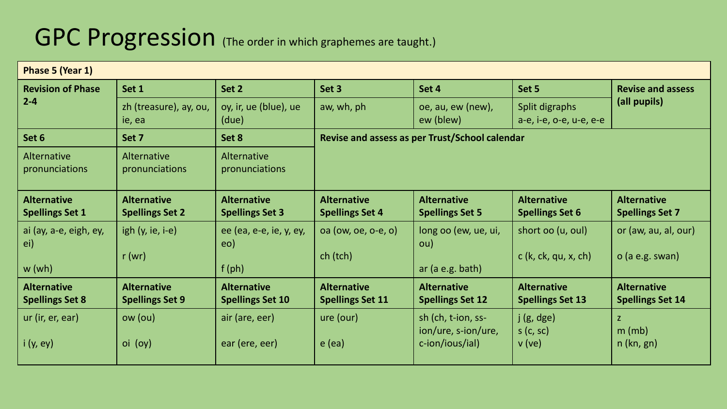#### GPC Progression (The order in which graphemes are taught.)

| Phase 5 (Year 1)                             |                                                                                                                    |                                               |                                               |                                                |                                               |                                               |  |  |
|----------------------------------------------|--------------------------------------------------------------------------------------------------------------------|-----------------------------------------------|-----------------------------------------------|------------------------------------------------|-----------------------------------------------|-----------------------------------------------|--|--|
| <b>Revision of Phase</b>                     | Set 1                                                                                                              | Set 2                                         | Set 3                                         | Set 4                                          | Set 5                                         | <b>Revise and assess</b>                      |  |  |
| $2 - 4$                                      | oy, ir, ue (blue), ue<br>zh (treasure), ay, ou,<br>aw, wh, ph<br>oe, au, ew (new),<br>ew (blew)<br>ie, ea<br>(due) |                                               | Split digraphs<br>a-e, i-e, o-e, u-e, e-e     | (all pupils)                                   |                                               |                                               |  |  |
| Set 6                                        | Set 7                                                                                                              | Set 8                                         |                                               | Revise and assess as per Trust/School calendar |                                               |                                               |  |  |
| Alternative<br>pronunciations                | Alternative<br>pronunciations                                                                                      | Alternative<br>pronunciations                 |                                               |                                                |                                               |                                               |  |  |
| <b>Alternative</b><br><b>Spellings Set 1</b> | <b>Alternative</b><br><b>Spellings Set 2</b>                                                                       | <b>Alternative</b><br><b>Spellings Set 3</b>  | <b>Alternative</b><br><b>Spellings Set 4</b>  | <b>Alternative</b><br><b>Spellings Set 5</b>   | <b>Alternative</b><br><b>Spellings Set 6</b>  | <b>Alternative</b><br><b>Spellings Set 7</b>  |  |  |
| ai (ay, a-e, eigh, ey,<br>ei)                | igh $(y, ie, i-e)$                                                                                                 | ee (ea, e-e, ie, y, ey,<br>eo)                | oa (ow, oe, o-e, o)                           | long oo (ew, ue, ui,<br>ou)                    | short oo (u, oul)                             | or (aw, au, al, our)                          |  |  |
| w(wh)                                        | r(wr)                                                                                                              | $f$ (ph)                                      | ch (tch)                                      | ar(a e.g. bath)                                | $c$ (k, ck, qu, x, ch)                        | $o$ (a e.g. swan)                             |  |  |
| <b>Alternative</b><br><b>Spellings Set 8</b> | <b>Alternative</b><br><b>Spellings Set 9</b>                                                                       | <b>Alternative</b><br><b>Spellings Set 10</b> | <b>Alternative</b><br><b>Spellings Set 11</b> | <b>Alternative</b><br><b>Spellings Set 12</b>  | <b>Alternative</b><br><b>Spellings Set 13</b> | <b>Alternative</b><br><b>Spellings Set 14</b> |  |  |
| ur (ir, er, ear)                             | ow (ou)                                                                                                            | air (are, eer)                                | ure (our)                                     | sh (ch, t-ion, ss-<br>ion/ure, s-ion/ure,      | j(g, dge)<br>s(c, sc)                         | $\mathsf{Z}$<br>$m$ (mb)                      |  |  |
| i(y, ey)                                     | oi (oy)                                                                                                            | ear (ere, eer)                                | $e$ (ea)                                      | c-ion/ious/ial)                                | v(ve)                                         | $n$ (kn, gn)                                  |  |  |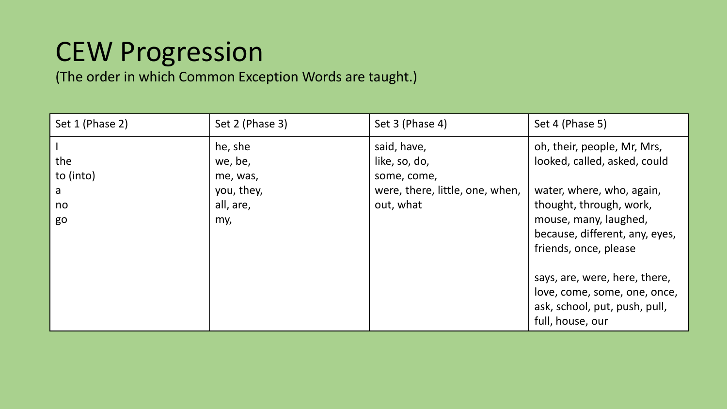### CEW Progression

(The order in which Common Exception Words are taught.)

| Set 1 (Phase 2)                   | Set 2 (Phase 3)                                                  | Set 3 (Phase 4)                                                                             | Set 4 (Phase 5)                                                                                                                                                                                                                                                                                                               |
|-----------------------------------|------------------------------------------------------------------|---------------------------------------------------------------------------------------------|-------------------------------------------------------------------------------------------------------------------------------------------------------------------------------------------------------------------------------------------------------------------------------------------------------------------------------|
| the<br>to (into)<br>a<br>no<br>go | he, she<br>we, be,<br>me, was,<br>you, they,<br>all, are,<br>my, | said, have,<br>like, so, do,<br>some, come,<br>were, there, little, one, when,<br>out, what | oh, their, people, Mr, Mrs,<br>looked, called, asked, could<br>water, where, who, again,<br>thought, through, work,<br>mouse, many, laughed,<br>because, different, any, eyes,<br>friends, once, please<br>says, are, were, here, there,<br>love, come, some, one, once,<br>ask, school, put, push, pull,<br>full, house, our |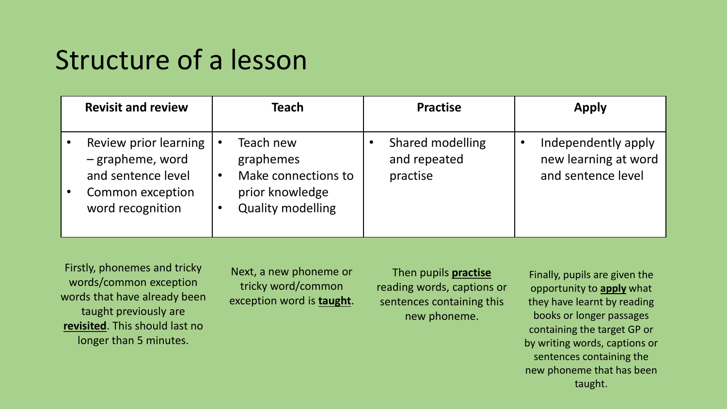#### Structure of a lesson

| <b>Revisit and review</b>                                                                               | Teach                                                                                        | <b>Practise</b>                              | <b>Apply</b>                                                      |
|---------------------------------------------------------------------------------------------------------|----------------------------------------------------------------------------------------------|----------------------------------------------|-------------------------------------------------------------------|
| Review prior learning<br>- grapheme, word<br>and sentence level<br>Common exception<br>word recognition | Teach new<br>graphemes<br>Make connections to<br>prior knowledge<br><b>Quality modelling</b> | Shared modelling<br>and repeated<br>practise | Independently apply<br>new learning at word<br>and sentence level |

Firstly, phonemes and tricky words/common exception words that have already been taught previously are **revisited**. This should last no longer than 5 minutes.

Next, a new phoneme or tricky word/common exception word is **taught**.

Then pupils **practise** reading words, captions or sentences containing this new phoneme.

Finally, pupils are given the opportunity to **apply** what they have learnt by reading books or longer passages containing the target GP or by writing words, captions or sentences containing the new phoneme that has been taught.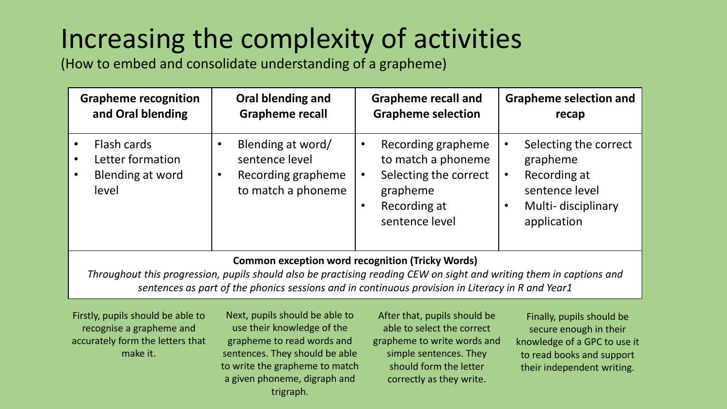# Increasing the complexity of activities

(How to embed and consolidate understanding of a grapheme)

|                      | <b>Grapheme recognition</b><br>and Oral blending | Oral blending and<br><b>Grapheme recall</b> |                                                                                 | <b>Grapheme recall and</b><br><b>Grapheme selection</b> |                                                                                                                 | <b>Grapheme selection and</b><br>recap                                                                   |
|----------------------|--------------------------------------------------|---------------------------------------------|---------------------------------------------------------------------------------|---------------------------------------------------------|-----------------------------------------------------------------------------------------------------------------|----------------------------------------------------------------------------------------------------------|
| Flash cards<br>level | Letter formation<br>Blending at word             | $\bullet$<br>$\bullet$                      | Blending at word/<br>sentence level<br>Recording grapheme<br>to match a phoneme | $\bullet$<br>$\bullet$<br>$\bullet$                     | Recording grapheme<br>to match a phoneme<br>Selecting the correct<br>grapheme<br>Recording at<br>sentence level | Selecting the correct<br>grapheme<br>Recording at<br>sentence level<br>Multi-disciplinary<br>application |

#### **Common exception word recognition (Tricky Words)**

*Throughout this progression, pupils should also be practising reading CEW on sight and writing them in captions and sentences as part of the phonics sessions and in continuous provision in Literacy in R and Year1*

Firstly, pupils should be able to recognise a grapheme and accurately form the letters that make it.

Next, pupils should be able to use their knowledge of the grapheme to read words and sentences. They should be able to write the grapheme to match a given phoneme, digraph and trigraph.

After that, pupils should be able to select the correct grapheme to write words and simple sentences. They should form the letter correctly as they write.

Finally, pupils should be secure enough in their knowledge of a GPC to use it to read books and support their independent writing.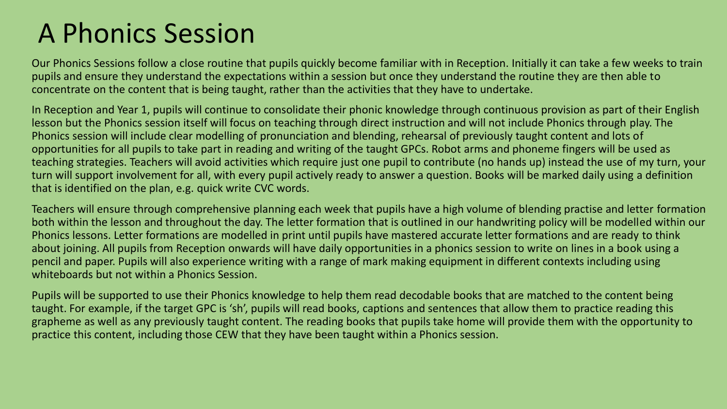#### A Phonics Session

Our Phonics Sessions follow a close routine that pupils quickly become familiar with in Reception. Initially it can take a few weeks to train pupils and ensure they understand the expectations within a session but once they understand the routine they are then able to concentrate on the content that is being taught, rather than the activities that they have to undertake.

In Reception and Year 1, pupils will continue to consolidate their phonic knowledge through continuous provision as part of their English lesson but the Phonics session itself will focus on teaching through direct instruction and will not include Phonics through play. The Phonics session will include clear modelling of pronunciation and blending, rehearsal of previously taught content and lots of opportunities for all pupils to take part in reading and writing of the taught GPCs. Robot arms and phoneme fingers will be used as teaching strategies. Teachers will avoid activities which require just one pupil to contribute (no hands up) instead the use of my turn, your turn will support involvement for all, with every pupil actively ready to answer a question. Books will be marked daily using a definition that is identified on the plan, e.g. quick write CVC words.

Teachers will ensure through comprehensive planning each week that pupils have a high volume of blending practise and letter formation both within the lesson and throughout the day. The letter formation that is outlined in our handwriting policy will be modelled within our Phonics lessons. Letter formations are modelled in print until pupils have mastered accurate letter formations and are ready to think about joining. All pupils from Reception onwards will have daily opportunities in a phonics session to write on lines in a book using a pencil and paper. Pupils will also experience writing with a range of mark making equipment in different contexts including using whiteboards but not within a Phonics Session.

Pupils will be supported to use their Phonics knowledge to help them read decodable books that are matched to the content being taught. For example, if the target GPC is 'sh', pupils will read books, captions and sentences that allow them to practice reading this grapheme as well as any previously taught content. The reading books that pupils take home will provide them with the opportunity to practice this content, including those CEW that they have been taught within a Phonics session.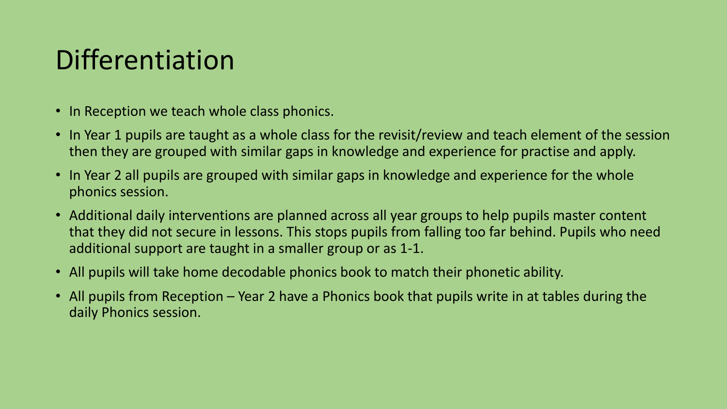## Differentiation

- In Reception we teach whole class phonics.
- In Year 1 pupils are taught as a whole class for the revisit/review and teach element of the session then they are grouped with similar gaps in knowledge and experience for practise and apply.
- In Year 2 all pupils are grouped with similar gaps in knowledge and experience for the whole phonics session.
- Additional daily interventions are planned across all year groups to help pupils master content that they did not secure in lessons. This stops pupils from falling too far behind. Pupils who need additional support are taught in a smaller group or as 1-1.
- All pupils will take home decodable phonics book to match their phonetic ability.
- All pupils from Reception Year 2 have a Phonics book that pupils write in at tables during the daily Phonics session.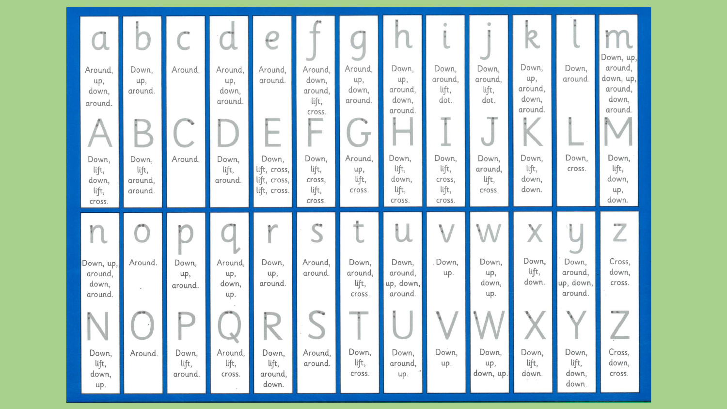| Around,<br>up,<br>down,<br>around.<br>Down,<br>lift,<br>down,<br>lift,<br>cross. | Down,<br>up,<br>around.<br>Down,<br>lift,<br>around,<br>around. | Around.<br>Around.                                   | Around,<br>up,<br>down,<br>around.<br>Down,<br>lift,<br>around.            | G<br>Around,<br>around.<br><b><i>Internette</i></b><br><b><i><u>Validation</u></i></b><br>Down,<br>lift, cross,<br>lift, cross,<br>lift, cross. | Around,<br>down,<br>around,<br>lift,<br>cross.<br>9.111111<br><b>Restrato</b><br>Down,<br>lift,<br>cross,<br>lift,<br>cross. | Around,<br>up,<br>down,<br>around.<br>$\mathbb{Z}^n$<br>Around,<br>up,<br>lift,<br>cross. | Down,<br>up,<br>around,<br>down,<br>around.<br>Down,<br>lift,<br>down,<br>lift,<br>cross. | Down,<br>around.<br>lift,<br>dot.<br><b>High</b><br>Down,<br>lift,<br>cross,<br>lift,<br>cross. | Down,<br>around,<br>lift,<br>dot.<br>U<br>Down,<br>around,<br>lift,<br>Cross. | R<br>Down;<br>up,<br>around,<br>down,<br>around.<br>Down,<br>lift,<br>down,<br>down. | Down,<br>around.<br>Down,<br>cross.                                          | Down, up,<br>around,<br>down, up,<br>around,<br>down,<br>around<br>Down,<br>lift,<br>down,<br>up,<br>down.                   |
|----------------------------------------------------------------------------------|-----------------------------------------------------------------|------------------------------------------------------|----------------------------------------------------------------------------|-------------------------------------------------------------------------------------------------------------------------------------------------|------------------------------------------------------------------------------------------------------------------------------|-------------------------------------------------------------------------------------------|-------------------------------------------------------------------------------------------|-------------------------------------------------------------------------------------------------|-------------------------------------------------------------------------------|--------------------------------------------------------------------------------------|------------------------------------------------------------------------------|------------------------------------------------------------------------------------------------------------------------------|
| n<br>Down, up,<br>around,<br>down,<br>around<br>Down,<br>lift,<br>down,<br>up.   | Around.<br>Around.                                              | Down,<br>up,<br>around.<br>Down,<br>lift,<br>around. | Around,<br>up,<br>down,<br>up.<br><b>COL</b><br>Around,<br>lift,<br>cross. | Down,<br>up,<br>around.<br>Down,<br>lift,<br>around,<br>down.                                                                                   | Around,<br>around.<br>Around,<br>around.                                                                                     | Down,<br>around,<br>lift,<br>cross.<br><b>SAND OF LAND</b><br>Down,<br>lift,<br>cross.    | Down,<br>around,<br>up, down,<br>around.<br>Down,<br>around,<br>up.                       | Down,<br>up.<br>Down,<br>up.                                                                    | Down,<br>up,<br>down,<br>up.<br>Down,<br>up,<br>down, up.                     | Down,<br>lift,<br>down.<br>Down,<br>lift,<br>down.                                   | Down,<br>around,<br>up, down,<br>around.<br>Down,<br>lift,<br>down,<br>down. | $0 - 1$<br>$\angle$<br>Cross,<br>down,<br>cross.<br>$\bullet$ $\rightarrow$<br><b>ASSOCIATE</b><br>Cross,<br>down,<br>cross. |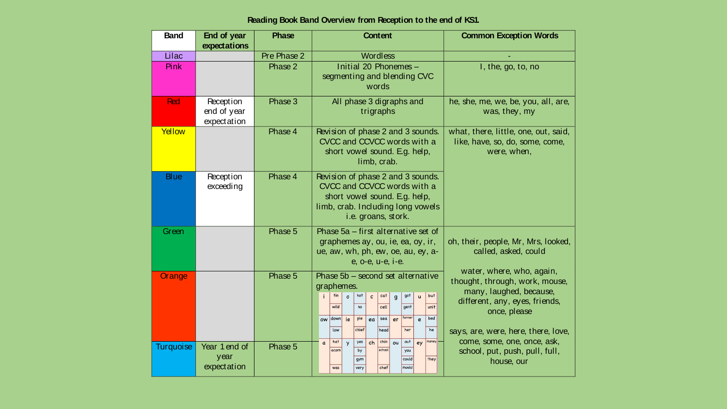#### **Reading Book Band Overview from Reception to the end of KS1.**

| <b>Band</b>      | End of year<br>expectations             | <b>Phase</b> | <b>Content</b>                                                                                                                                                                                                                                                                              | <b>Common Exception Words</b>                                                                                                                                                   |
|------------------|-----------------------------------------|--------------|---------------------------------------------------------------------------------------------------------------------------------------------------------------------------------------------------------------------------------------------------------------------------------------------|---------------------------------------------------------------------------------------------------------------------------------------------------------------------------------|
| Lilac            |                                         | Pre Phase 2  | <b>Wordless</b>                                                                                                                                                                                                                                                                             |                                                                                                                                                                                 |
| Pink             |                                         | Phase 2      | Initial 20 Phonemes -<br>segmenting and blending CVC<br>words                                                                                                                                                                                                                               | I, the, go, to, no                                                                                                                                                              |
| Red              | Reception<br>end of year<br>expectation | Phase 3      | All phase 3 digraphs and<br>trigraphs                                                                                                                                                                                                                                                       | he, she, me, we, be, you, all, are,<br>was, they, my                                                                                                                            |
| Yellow           |                                         | Phase 4      | Revision of phase 2 and 3 sounds.<br>CVCC and CCVCC words with a<br>short vowel sound. E.g. help,<br>limb, crab.                                                                                                                                                                            | what, there, little, one, out, said,<br>like, have, so, do, some, come,<br>were, when,                                                                                          |
| <b>Blue</b>      | Reception<br>exceeding                  | Phase 4      | Revision of phase 2 and 3 sounds.<br>CVCC and CCVCC words with a<br>short vowel sound. E.g. help,<br>limb, crab. Including long vowels<br>i.e. groans, stork.                                                                                                                               |                                                                                                                                                                                 |
| Green            |                                         | Phase 5      | Phase 5a - first alternative set of<br>graphemes ay, ou, ie, ea, oy, ir,<br>ue, aw, wh, ph, ew, oe, au, ey, a-<br>e, o-e, u-e, i-e.                                                                                                                                                         | oh, their, people, Mr, Mrs, looked,<br>called, asked, could                                                                                                                     |
| Orange           |                                         | Phase 5      | Phase 5b - second set alternative<br>graphemes.<br>but<br>tin<br>hot<br>cat<br>got<br>$\mathbf c$<br>$\circ$<br>$\mathsf{g}$<br>$\mathbf{u}$<br>wild<br>cell<br>gent<br>unit<br>no<br>farmer<br>bed<br>down<br>pie<br>sea<br>ie<br>er<br>ow<br>ea<br>e<br>chief<br>he<br>head<br>her<br>low | water, where, who, again,<br>thought, through, work, mouse,<br>many, laughed, because,<br>different, any, eyes, friends,<br>once, please<br>says, are, were, here, there, love, |
| <b>Turquoise</b> | Year 1 end of<br>year<br>expectation    | Phase 5      | ch<br>chin<br>out<br>money<br>hat<br>yes<br>ou<br><b>y</b><br>ey<br>$\mathfrak{a}$<br>school<br>acorn<br>by<br>you<br>could<br>they<br>gym<br>chef<br>mould<br>was<br>very                                                                                                                  | come, some, one, once, ask,<br>school, put, push, pull, full,<br>house, our                                                                                                     |